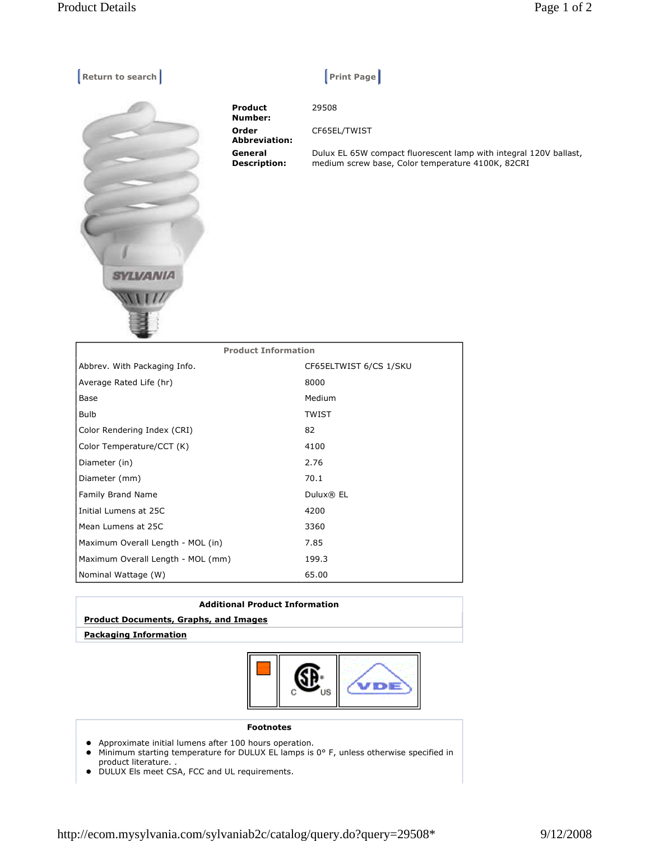з.

| Return to search |                                | $ $ Print Page $ $                                                                                                     |
|------------------|--------------------------------|------------------------------------------------------------------------------------------------------------------------|
|                  | Product<br>Number:             | 29508                                                                                                                  |
|                  | Order<br><b>Abbreviation:</b>  | CF65EL/TWIST                                                                                                           |
| <b>SYLVANIA</b>  | General<br><b>Description:</b> | Dulux EL 65W compact fluorescent lamp with integral 120V ballast,<br>medium screw base, Color temperature 4100K, 82CRI |

| <b>Product Information</b>        |                        |  |  |
|-----------------------------------|------------------------|--|--|
| Abbrev. With Packaging Info.      | CF65ELTWIST 6/CS 1/SKU |  |  |
| Average Rated Life (hr)           | 8000                   |  |  |
| Base                              | Medium                 |  |  |
| <b>Bulb</b>                       | <b>TWIST</b>           |  |  |
| Color Rendering Index (CRI)       | 82                     |  |  |
| Color Temperature/CCT (K)         | 4100                   |  |  |
| Diameter (in)                     | 2.76                   |  |  |
| Diameter (mm)                     | 70.1                   |  |  |
| Family Brand Name                 | Dulux® EL              |  |  |
| Initial Lumens at 25C             | 4200                   |  |  |
| Mean Lumens at 25C                | 3360                   |  |  |
| Maximum Overall Length - MOL (in) | 7.85                   |  |  |
| Maximum Overall Length - MOL (mm) | 199.3                  |  |  |
| Nominal Wattage (W)               | 65.00                  |  |  |

| <b>Additional Product Information</b>        |  |  |
|----------------------------------------------|--|--|
| <b>Product Documents, Graphs, and Images</b> |  |  |
| <b>Packaging Information</b>                 |  |  |
|                                              |  |  |



## **Footnotes**

- Approximate initial lumens after 100 hours operation.
- Minimum starting temperature for DULUX EL lamps is 0° F, unless otherwise specified in product literature. .
- DULUX Els meet CSA, FCC and UL requirements.